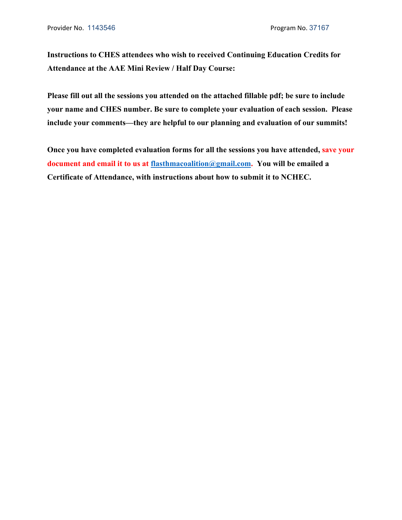**Instructions to CHES attendees who wish to received Continuing Education Credits for Attendance at the AAE Mini Review / Half Day Course:** 

**Please fill out all the sessions you attended on the attached fillable pdf; be sure to include your name and CHES number. Be sure to complete your evaluation of each session. Please include your comments—they are helpful to our planning and evaluation of our summits!** 

**Once you have completed evaluation forms for all the sessions you have attended, save your document and email it to us at flasthmacoalition@gmail.com. You will be emailed a Certificate of Attendance, with instructions about how to submit it to NCHEC.**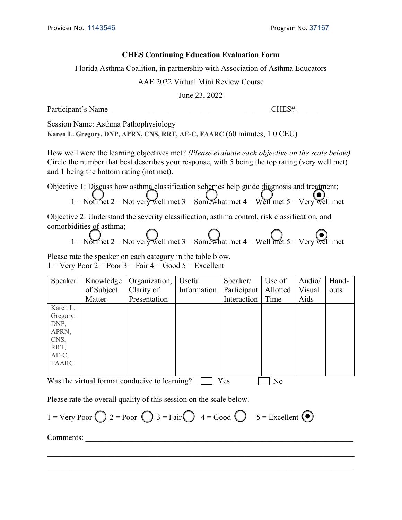# **CHES Continuing Education Evaluation Form**

Florida Asthma Coalition, in partnership with Association of Asthma Educators

### AAE 2022 Virtual Mini Review Course

June 23, 2022

Participant's Name The CHES#  $CHES#$ 

Session Name: Asthma Pathophysiology

**Karen L. Gregory. DNP, APRN, CNS, RRT, AE-C, FAARC** (60 minutes, 1.0 CEU)

How well were the learning objectives met? *(Please evaluate each objective on the scale below)*  Circle the number that best describes your response, with 5 being the top rating (very well met) and 1 being the bottom rating (not met).

Objective 1: Discuss how asthma classification schemes help guide diagnosis and treatment; 1 = Not met 2 – Not very well met 3 = Somewhat met 4 = Well met 5 = Very well met

Objective 2: Understand the severity classification, asthma control, risk classification, and comorbidities of asthma;

$$
1 = \text{Not met } 2 - \text{Not very well met } 3 = \text{SomeWhat met } 4 = \text{Well met } 5 = \text{Very Well met}
$$

Please rate the speaker on each category in the table blow.  $1 = \text{Very Poor } 2 = \text{Poor } 3 = \text{Fair } 4 = \text{Good } 5 = \text{Excellent}$ 

| Speaker   | Knowledge                                        | Organization,  | Useful      | Speaker/    | Use of   | Audio/ | Hand- |
|-----------|--------------------------------------------------|----------------|-------------|-------------|----------|--------|-------|
|           | of Subject                                       | Clarity of     | Information | Participant | Allotted | Visual | outs  |
|           | Matter                                           | Presentation   |             | Interaction | Time     | Aids   |       |
| Karen L.  |                                                  |                |             |             |          |        |       |
| Gregory.  |                                                  |                |             |             |          |        |       |
| DNP,      |                                                  |                |             |             |          |        |       |
| APRN,     |                                                  |                |             |             |          |        |       |
| CNS,      |                                                  |                |             |             |          |        |       |
| RRT,      |                                                  |                |             |             |          |        |       |
| $AE-C$ ,  |                                                  |                |             |             |          |        |       |
| FAARC     |                                                  |                |             |             |          |        |       |
|           |                                                  |                |             |             |          |        |       |
| $TTT = 1$ | $\cdot$ $\cdot$ $\cdot$ $\cdot$<br>$\sim$ $\sim$ | $\blacksquare$ | $\sim$      | T           | T        |        |       |

Was the virtual format conducive to learning?  $\Box$  Yes  $\Box$  No

Please rate the overall quality of this session on the scale below.

 $1 = \text{Very Poor } \bigcap 2 = \text{ Poor } \bigcap 3 = \text{Fair } \bigcap 4 = \text{Good } \bigcap 5 = \text{Excellent } \bigcirc$ 

Comments: \_\_\_\_\_\_\_\_\_\_\_\_\_\_\_\_\_\_\_\_\_\_\_\_\_\_\_\_\_\_\_\_\_\_\_\_\_\_\_\_\_\_\_\_\_\_\_\_\_\_\_\_\_\_\_\_\_\_\_\_\_\_\_\_\_\_\_\_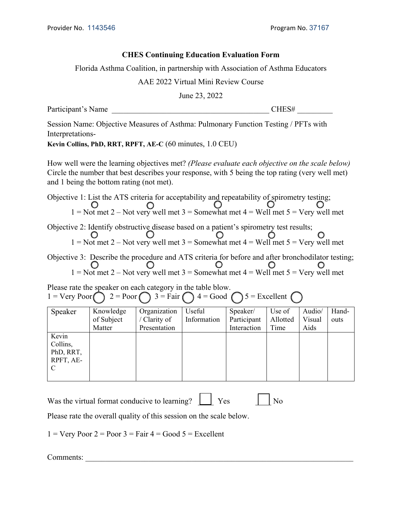# **CHES Continuing Education Evaluation Form**

Florida Asthma Coalition, in partnership with Association of Asthma Educators

AAE 2022 Virtual Mini Review Course

June 23, 2022

Participant's Name The CHES#

Session Name: Objective Measures of Asthma: Pulmonary Function Testing / PFTs with Interpretations-

**Kevin Collins, PhD, RRT, RPFT, AE-C** (60 minutes, 1.0 CEU)

How well were the learning objectives met? *(Please evaluate each objective on the scale below)* Circle the number that best describes your response, with 5 being the top rating (very well met) and 1 being the bottom rating (not met).

Objective 1: List the ATS criteria for acceptability and repeatability of spirometry testing; 1 = Not met 2 – Not very well met 3 = Somewhat met 4 = Well met 5 = Very well met

Objective 2: Identify obstructive disease based on a patient's spirometry test results;  $1 =$  Not met 2 – Not very well met 3 = Somewhat met 4 = Well met 5 = Very well met

Objective 3: Describe the procedure and ATS criteria for before and after bronchodilator testing; 1 = Not met 2 – Not very well met 3 = Somewhat met 4 = Well met 5 = Very well met

Please rate the speaker on each category in the table blow. 1 = Very Poor  $\bigcap$  2 = Poor  $\bigcap$  3 = Fair  $\bigcap$  4 = Good  $\bigcap$  5 = Excellent  $\bigcap$ 

| Speaker                                          | Knowledge<br>of Subject<br>Matter | Organization<br>/ Clarity of<br>Presentation | Useful<br>Information | Speaker/<br>Participant<br>Interaction | Use of<br>Allotted<br>Time | Audio/<br>Visual<br>Aids | Hand-<br>outs |
|--------------------------------------------------|-----------------------------------|----------------------------------------------|-----------------------|----------------------------------------|----------------------------|--------------------------|---------------|
| Kevin<br>Collins,<br>PhD, RRT,<br>RPFT, AE-<br>C |                                   |                                              |                       |                                        |                            |                          |               |

Was the virtual format conducive to learning?  $\Box$  Yes  $\Box$  No

Please rate the overall quality of this session on the scale below.

 $1 = \text{Very Poor } 2 = \text{Poor } 3 = \text{Fair } 4 = \text{Good } 5 = \text{Excellent}$ 

Comments: